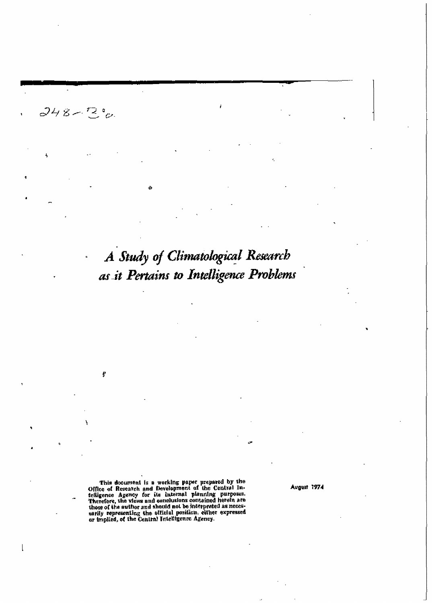$248 - 70^{\circ}$ c.

 $\overline{\mathsf{I}}$ 

# A Study of Climatological Research as it Pertains to Intelligence Problems

This document is a working paper prepared by the<br>Office of Research and Development of the Central In-<br>telligence Agency for its internal planning purposes.<br>Therefore, the views and canonical and handed processes those of the author and should not be interpreted as necessarily representing the official position, either expressed<br>or implied, of the Central Intelligence Agency.

August 1974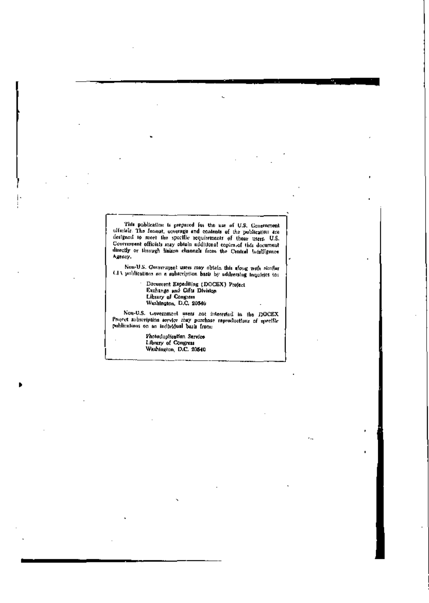This publication is prepared for the use of U.S. Government officials. The format, coverage and contents of the publication are designed to meet the specific requirements of those users. U.S. Coverment officials may obtain additional copies of this document directly or through linkon channels from the Central Infelligence Agency.

Non-U.S. Government users may obtain this slong with similar CIA publications on a subscription basis by addressing inquiries to:

Document Espediting (DOCEX) Project<br>Exchange and Cifts Division<br>Library of Congress Washington, D.C. 20546

Non-U.S. Government users not interested in the DOCEX Project subscription service may purchase reproductions of specific publications on an individual basis from:

> Photoduplication Service<br>Library of Congress Washington, D.C. 20540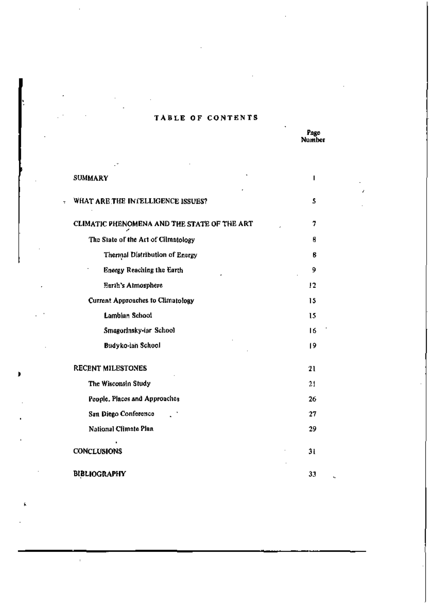# TABLE OF CONTENTS

Page<br>Number

| SUMMARY                                     | ı  |
|---------------------------------------------|----|
| WHAT ARE THE INTELLIGENCE ISSUES?           | s  |
| CLIMATIC PHENOMENA AND THE STATE OF THE ART | 7  |
| The State of the Art of Cilmatology         | 8  |
| Thermal Distribution of Energy              | ß  |
| <b>Energy Reaching the Earth</b>            | 9  |
| Earth's Atmosphere                          | 12 |
| Current Approaches to Climatology           | 15 |
| <b>Lambian School</b>                       | 15 |
| Smagorinsky-tar School                      | 16 |
| Budyko-lan School                           | 19 |
| <b>RECENT MILESTONES</b>                    | 21 |
| The Wisconsin Study                         | 21 |
| People. Places and Approaches               | 26 |
| San Diego Conference                        | 27 |
| National Climate Plan                       | 29 |
| <b>CONCLUSIONS</b>                          | 31 |
| BIBLIOGRAPHY                                | 33 |

t.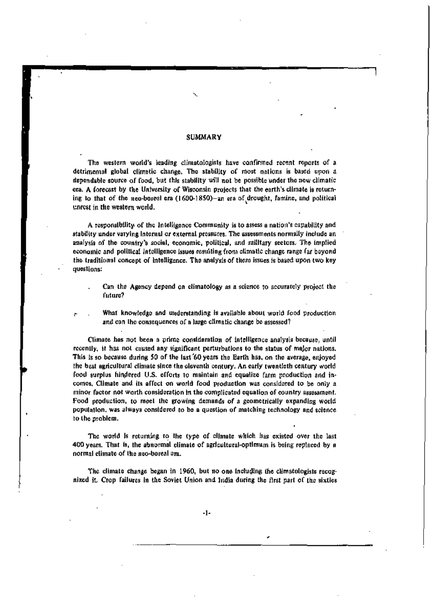## **SUMMARY**

The western world's leading climatologists have confirmed recent reports of a detrimental global climatic change. The stability of most nations is based upon a dependable source of food, but this stability will not be possible under the new climatic era. A forecast by the University of Wisconsin projects that the earth's climate is returning to that of the neo-boreal era (1600-1850)-an era of drought, famine, and political unrest in the western world.

A responsibility of the Intelligence Community is to assess a nation's capability and stability under varying intornal or external pressures. The assessments normally include an analysis of the country's social, economic, political, and military sectors. The implied economic and political intelligence issues resulting from climatic change range far beyond the traditional concept of intelligence. The analysis of these issues is based upon two key questions:

Can the Agency depend on climatology as a science to accurately project the future?

What knowledge and understanding is available about world food production and can the consequences of a large climatic change be assessed?

Climate has not been a prime consideration of intelligence analysis because, until recently, it has not caused any significant perturbations to the status of major nations. This is so because during 50 of the last 60 years the Earth has, on the average, enjoyed the best agricultural climate since the eleventh century. An early twentieth century world food surplus hindered U.S. efforts to maintain and equalize farm production and incomes, Climate and its affect on world food production was considered to be only a minor factor not worth consideration in the complicated equation of country assessment. Food production, to meet the growing demands of a geometrically expanding world population, was always considered to be a question of matching technology and science to the problem.

The world is returning to the type of climate which has existed over the last 400 years. That is, the abnormal climate of agdcultural-optimum is being replaced by a normal climate of the neo-boreal era.

The climate change began in 1960, but no one including the climatologists recognized it. Crop failures in the Soviet Union and India during the first part of the sixtles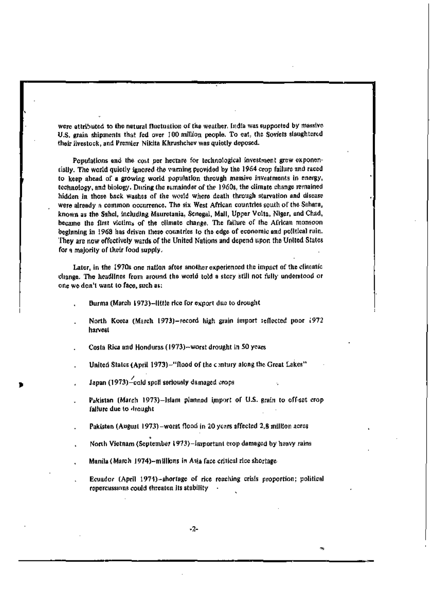were attributed to the natural fluctuation of the weather. India was supported by massive U.S. grain shipments that fed over 100 million people. To eat, the Soviets slaughtered their livestock, and Premier Nikita Khrushchev was quietly deposed.

Populations and the cost per hectare for technological investment grew exponentially. The world quietly ignored the varning provided by the 1964 crop failure and raced to keep ahead of a growing world population through massive investments in energy, technology, and biology. During the remainder of the 1960s, the climate change remained hidden in those back washes of the world where death through starvation and disease were already a common occurrence. The six West African countries south of the Sahara, known as the Sahel, including Mauretania, Scnegal, Mall, Upper Volta, Niger, and Chad, became the first victims of the climate change. The failure of the African monsoon beginning in 1968 has driven these countries to the edge of economic and political ruin. They are now effectively wards of the United Nations and depend upon the United States for a majority of their food supply.

Later, in the 1970s one nation after another experienced the impact of the climatic cliange. The headlines from around the world told a story still not fully understood or one we don't want to face, such as:

- Burma (March 1973)-little rice for export due to drought
- North Korea (March 1973)-record high grain import reflected poor 1972 harvest
- Costa Rica and Honduras (1973)-worst drought in 50 years
- United States (April 1973)-"flood of the century along the Great Lakes"
- Japan  $(1973)$ -cold spell seriously damaged crops
- Pakistan (March 1973)-Islam planned import of U.S. grain to off-set crop fallure due to drought
- Pakisten (August 1973)-worst flood in 20 years affected 2.8 million acros
- North Victnam (September 1973)-important crop damaged by heavy rains
- Manila (March 1974)-millions in Asia face critical rice shortage.
- Ecuador (April 1974)-shortage of rice reaching crisis proportion; political repercussions could threaten its stability  $\cdot$

-2-

ż,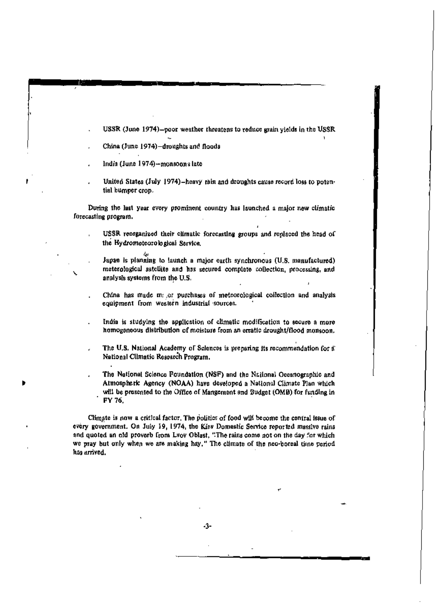USSR (June 1974)-poor weather threatens to reduce grain yields in the USSR

China (June 1974)-droughts and floods

India (June 1974)-monsoons late

ï

United States (July 1974)-heavy rain and droughts cause record loss to potential bumper crop.

During the last year every prominent country has launched a major new climatic forecasting program.

USSR reorganized their climatic forecasting groups and replaced the head of the Hydrometeorological Service.

Japan is planning to launch a major earth synchronous (U.S. manufactured) meterological satellite and has secured complete collection, processing, and analysis systems from the U.S.

China has made m; or purchases of meteorological collection and analysis equipment from western industrial sources.

India is studying the application of climatic modification to secure a more homogeneous distribution of moisture from an erratic drought/flood monsoon.

The U.S. National Academy of Sciences is preparing its recommendation for a National Climatic Research Program.

The National Science Foundation (NSF) and the National Oceanographic and Atmospherk Agency (NOAA) have developed a National Climate Plan which will be presented to the Office of Mangement and Budget (OMB) for funding in FY 76.

Climate is now a critical factor. The politics of food will become the central issue of every government. On July 19, 1974, the Kiev Domestic Service reported massive rains and quoted an old proverb from Lvoy Oblast, "The rains come not on the day for which we pray but only when we are making hay," The climate of the neo-boreal time period has arrived.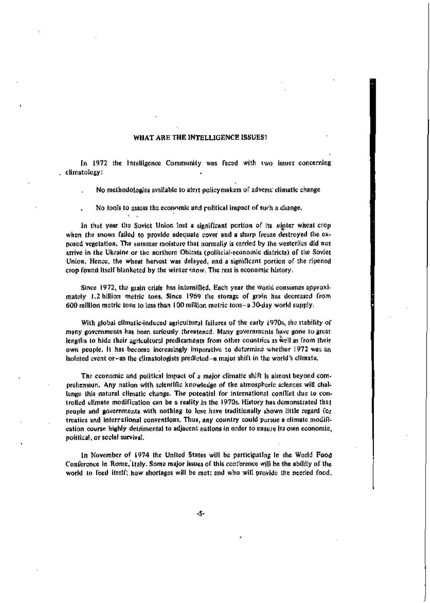# WHAT ARE THE INTELLIGENCE ISSUES?

In 1972 the Intelligence Community was faced with two issues concerning climatology:

No methodologies available to alert policymakers of adverse climatic change

No tools to assess the economic and political impact of such a change.

In that year the Soviet Union lost a significant portion of its winter wheat crop when the snows failed to provide adequate cover and a sharp freeze destroyed the exposed vegetation. The summer moisture that normally is carried by the westerlies did not arrive in the Ukraine or the northern Oblasts (politeial-economic districts) of the Soviet Union, Hence, the wheat harvest was delayed, and a significant portion of the ripened crop found itself blanketed by the winter snow. The rest is economic history.

Since 1972, the grain orisis has intensified. Each year the world consumes approximately 1.2 billion metric tons. Since 1969 the storage of grain has decreased from 600 million metric tons to less than 100 million metric tons-a 30-day world supply.

With global elbnatic-induced agricultural failures of the early 1970s, the stability of many governments has been seriously threatened. Many governments have gone to great lengths to hide their agricultural predicaments from other countries as well as from their own people. It has become increasingly imperative to determine whether 1972 was an Isolated event or-as the climatologists predicted - a major shift in the world's climate,

The economic and political impact of a major climatic shift is almost beyond compreficusion. Any nation with selentific knowledge of the atmospheric sciences will challenge this natural climatic change. The potential for international conflict due to controlled elimate modification can be a reality in the 1970s. History has demonstrated that people and governments with nothing to lose have traditionally shown little regard for treaties and international conventions. Thus, any country could pursue a climate modifieation course highly detrimental to adjacent pations in order to ensure its own economic, political, or social survival.

In November of 1974 the United States will be participating in the World Food Conference in Rome, Italy. Some major issues of this conference will be the ability of the world to feed itself; how shortages will be met; and who will provide the needed food.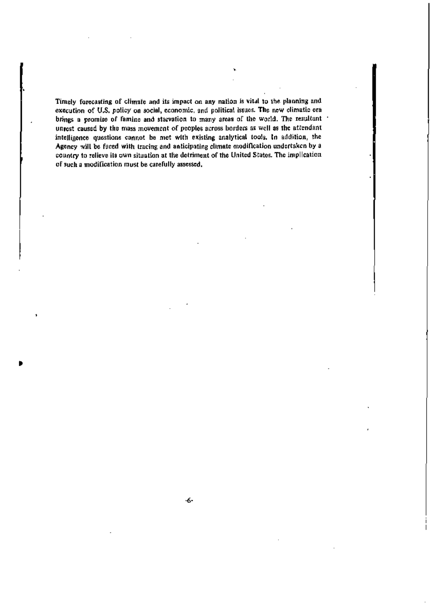Timely forecasting of climate and its impact on any nation is vital to the planning and execution of U.S. policy on social, economic, and political issues. The new climatic era brings a promise of famine and starvation to many areas of the world. The resultant ' unrest caused by the mass movement of peoples across borders as well as the attendant intelligence questions cannot be met with existing analytical tools. In addition, the Agency will be faced with tracing and anticipating climate modification undertaken by a country to relieve its own situation at the detriment of the United States. The implication of such a modification must be carefully assessed.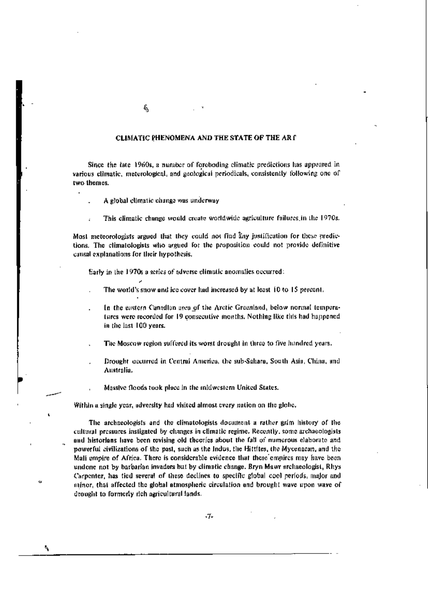# CLIMATIC PHENOMENA AND THE STATE OF THE ART

Since the late 1960s, a number of foreboding climatic predictions has appeared in various climatic, meterological, and geological periodicals, consistently following one of two themes.

A global climatic change was underway

This climatic change would create worldwide agriculture failures in the 1970s.

Most meteorologists argued that they could not find any justification for these predictions. The climatologists who argued for the proposition could not provide definitive causal explanations for their hypothesis.

Early in the 1970s a series of adverse elimatic anomalies occurred:

- The world's snow and ice cover had increased by at least 10 to 15 percent.
- In the eastern Canadian area of the Arctic Greenland, below normal temperatures were recorded for 19 consecutive months. Nothing like this had happened in the last 100 years.
- The Moscow region suffered its worst drought in three to five hundred years.
- Drought occurred in Central America, the sub-Sahara, South Asia, China, and Australia.

Massive floods took place in the inidwestern United States.

Within a single year, adversity had visited almost every nation on the globe.

۹

The archaeologists and the climatologists document a rather grim history of the cultural pressures instigated by changes in climatic regime. Recently, some archaeologists and historians have been revising old theories about the fall of numerous elaborate and powerful civilizations of the past, such as the Indus, the Hittites, the Mycenacan, and the Mali empire of Africa. There is considerable evidence that these empires may have been undone not by barbarian invaders but by climatic change. Bryn Mawr archaeologist, Rhys Carpenter, has tied several of these declines to specific global cool periods, major and minor, that affected the global atmospheric circulation and brought wave upon wave of drought to formerly rich agricultural lands.

b,

 $J_{\tau}$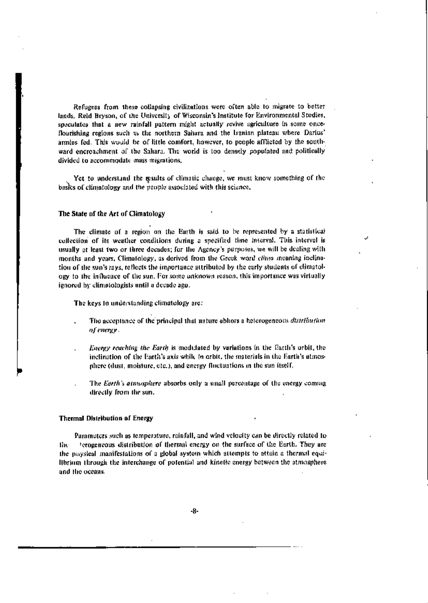Refugees from these collapsing civilizations were often able to migrate to better lands, Reld Bryson, of the University of Wisconsin's Institute for Environmental Studies, speculates that a new rainfall pattern might actually revive agriculture in some onceflourishing regions such as the northern Sahara and the Iranian plateau where Darius' armles fed. This would be of little comfort, however, to people afflicted by the southward encroachment of the Saliara. The world is too densely populated and politically divided to accommodate mass migrations,

Yet to understand the gesults of climatic change, we must know something of the basics of climatology and the people associated with this science,

## The State of the Art of Climatology

The climate of a region on the Earth is said to be represented by a statistical collection of its weather conditions during a specified time interval. This interval is usually at least two or three decades; for the Agency's purposes, we will be dealing with months and years, Climatology, as derived from the Greek word clima meaning inclination of the sun's rays, reflects the importance attributed by the early students of climatology to the influence of the sun. For some unknown reason, this importance was virtually ignored by climatologists until a decade ago.

The keys to understanding climatology are:

- The acceptance of the principal that nature abhors a heterogeneous distribution of energy.
- Energy reaching the Earth is modulated by variations in the Barth's orbit, the inclination of the Earth's axis while in orbit, the materials in the Earth's atmosphere (dust, moisture, etc.), and energy fluctuations in the sun itself.
- The Earth's atmosphere absorbs only a small percentage of the energy coming directly from the sun.

#### Thermal Distribution of Energy

Parameters such as temperature, rainfull, and wind velocity can be directly related to terogeneous distribution of thermal energy on the surface of the Earth. They are The. the paysical manifestations of a global system which attempts to attain a thermal equilibrium through the interchange of potential and kinetic energy between the atmosphere and the oceans.

-8-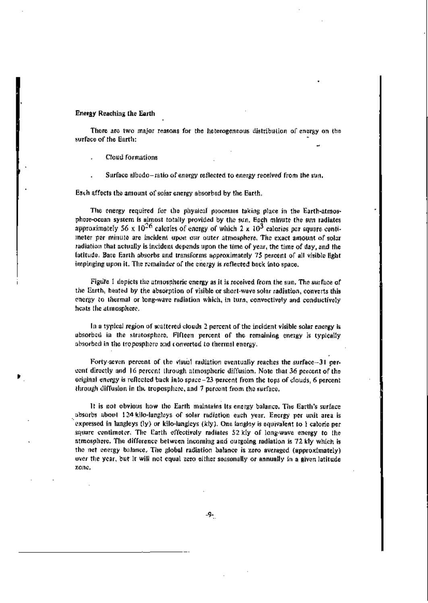#### **Energy Reaching the Earth**

There are two major reasons for the heterogeneous distribution of energy on the surface of the Earth:

Cloud formations

Surface albedo-ratio of energy reflected to energy received from the sun.

Each affects the amount of solar energy absorbed by the Earth.

The energy required for the physical processes taking place in the Earth-atmosphere-ocean system is almost totally provided by the sun. Each minute the sun radiates approximately 56 x  $10^{26}$  calorles of energy of which 2 x  $10^3$  calories per square centimeter per minute are incident upon our outer atmosphere. The exact amount of solar radiation that actually is incident depends upon the time of year, the time of day, and the latitude. Bare flarth absorbs and transforms approximately 75 percent of all visible light impinging upon it. The remainder of the energy is reflected back into space.

Figure 1 depicts the atmospheric energy as it is received from the sun. The surface of the Earth, heated by the absorption of visible or short-wave solar radiation, converts this energy to thermal or long-wave radiation which, in turn, convectively and conductively heats the atmosphere.

In a typical region of scattered clouds 2 percent of the incident visible solar energy is absorbed in the stratosphere. Fifteen percent of the remaining energy is typically absorbed in the troposphere and converted to thermal energy.

Forty-seven percent of the visual radiation eventually reaches the surface-31 percent directly and 16 percent through atmospheric diffusion. Note that 36 percent of the original energy is reflected back into space -23 percent from the tops of clouds, 6 percent through diffusion in the troposphere, and 7 percent from the surface.

It is not obvious how the Earth maintains its energy balance. The Earth's surface absorbs about 124 kilo-langleys of solar radiation each year. Energy per unit area is expressed in langleys (ly) or kilo-langleys (kly). One langley is equivalent to I calorie per square centimeter. The Earth effectively radiates 52 kly of long-wave energy to the atmosphere. The difference between incoming and outgoing radiation is 72 kly which is the net energy balance. The global radiation balance is zero averaged (approximately) over the year, but it will not equal zero either seasonally or annually in a given latitude zone,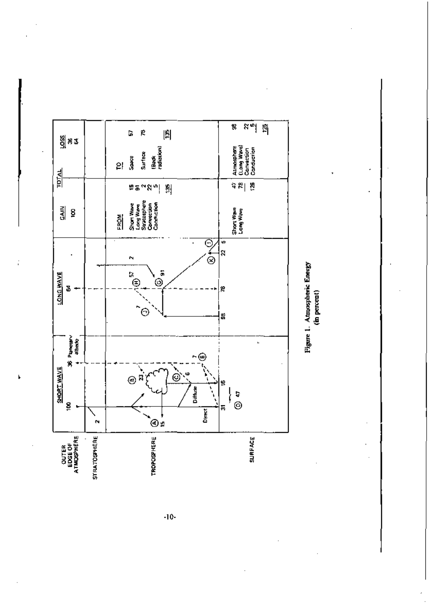

k

Figure 1. Atmospheric Energy<br>(in percent)

 $-10-$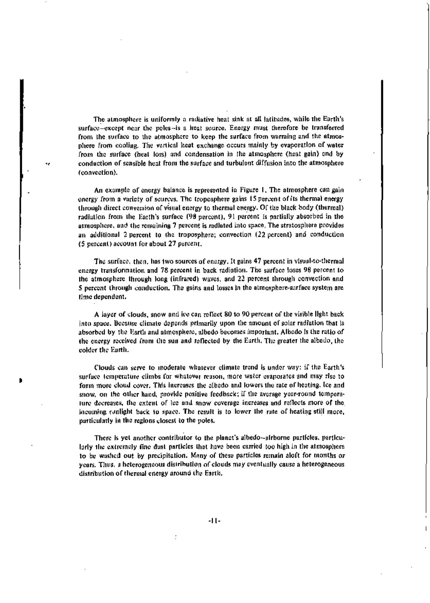The atmosphere is uniformly a radiative heat sink at all latitudes, while the Earth's surface-except near the poles-is a heat source. Energy must therefore be transforted from the surface to the atmosphere to keep the surface from warming and the atmosphere from cooling. The vertical heat exchange occurs mainly by evaporation of water from the surface (heat loss) and condensation in the atmosphere (heat gain) and by conduction of sensible heat from the surface and turbulent diffusion into the atmosphere (convection).

An example of energy balance is represented in Figure 1, The atmosphere can galor energy from a variety of sources. The troposphere gains 15 percent of its thermal energy (hrough direct conversion of visual energy to thermal energy. Of the black body (thermal) radiation from the Earth's surface (98 percent), 91 percent is partially absorbed in the atmosphere, and the remaining 7 percent is radiated into space. The stratosphere provides an additional 2 percent to the troposphere; convection (22 percent) and conduction (5 percent) account for about 27 percent.

The surface, then, has two sources of energy, It gains 47 percent in visual-to-thermal energy transformation and 78 percent in back radiation. The surface loses 98 percent to the atmosphere through long (infrared) waves, and 22 percent through convection and 5 percent through conduction. The gains and losses in the atmosphere-surface system are time dependent.

A layer of clouds, snow and ice can reflect 80 to 90 percent of the visible light back into space. Because climate depends primarily upon the amount of solar radiation that is absorbed by the Earth and atmosphere, albedo becomes important. Albedo is the ratio of the energy received from the sun and reflected by the Earth. The greater the albedo, the colder the Earth.

Clouds can serve to moderate whatever climate trend is under way: if the Earth's surface temperature climbs for whatever reason, more water evaporates and may rise to form more cloud cover. This increases the albedo and lowers the rate of heating, Ice and snow, on the other hand, provide positive feedback; if the average year-round temperature decreases, the extent of lee and snow coverage increases and reflects more of the incoming canlight back to space. The result is to lower the rate of heating still more, particularly in the regions closest to the poles.

There is yet another contsibutor to the planet's albedo--alrborne particles, particularly the extremely fine dust particles that have been carried too high in the atmosphere to be washed out by precipitation. Many of these particles remain aloft for months or years. Thus, a heterogeneous distribution of clouds may eventually cause a heterogeneous distribution of thermal energy around the Earth,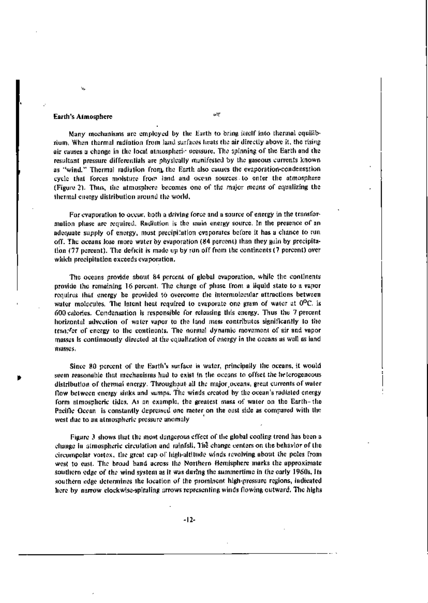#### **Earth's Atmosphere**

as≌

Many mechanisms are employed by the Earth to bring itself into thermal equilibrium, When thermal radiation from land surfaces heats the air directly above it, the rising air causes a change in the local atmospheric pressure. The spinning of the Earth and the resultant pressure differentials are physically manifested by the gaseous currents known as "wind." Thermal radiation from the Earth also causes the evaporation-condensation cycle that forces moisture from land and ocean sources to enter the atmosphere (Figure 2). Thus, the atmosphere becomes one of the major means of equalizing the thermal energy distribution around the world,

For evaporation to occur, both a driving force and a source of energy in the transformulion phase are required. Rudiation is the main energy source. In the presence of an adequate supply of energy, most precipitation evaporates before it has a chance to run off. The occurs lose more water by evaporation (84 percent) than they gain by precipitation (77 percent). The deficit is made up by run off from the continents (7 percent) over which precipitation exceeds evaporation.

The oceans provide about 84 percent of global evaporation, while the continents provide the remaining 16 percent. The change of phase from a liquid state to a vapor requires that energy be provided to overcome the intermolecular attractions between water molecules. The latent heat required to evaporate one gram of water at  $0^{\circ}$ C. is 600 calories. Condensation is responsible for releasing this energy. Thus the 7 percent horizontal advection of water vapor to the land mass contributes significantly to the tranger of energy to the continents. The normal dynamic movement of air and vapor masses is continuously directed at the equalization of energy in the oceans as well as fand masses.

Since 80 percent of the Barth's surface is water, principally the oceans, it would seem reasonable that mechanisms had to exist in the occans to offset the heterogeneous distribution of thermal energy. Throughout all the major oceans, great currents of water flow between energy sinks and sumps. The winds created by the ocean's radiated energy form atmospheric tides. As an example, the greatest mass of water on the Earth-the Pacific Ocean is constantly depressed one meter on the east side as compared with the west due to an atmospheric pressure anomaly

Figure 3 shows that the most dangerous effect of the global cooling trend has been a change in atmospheric circulation and rainfall. The change centers on the behavior of the circumpolar vortex, the great cap of high-altitude winds revolving about the poles from west to east. The broad band across the Northern Hemisphere marks the approximate southern edge of the wind system as it was during the summertime in the early 1960s, Its southern edge determines the location of the prominent high-pressure regions, indicated here by narrow clockwise-spiraling arrows representing winds flowing outward. The highs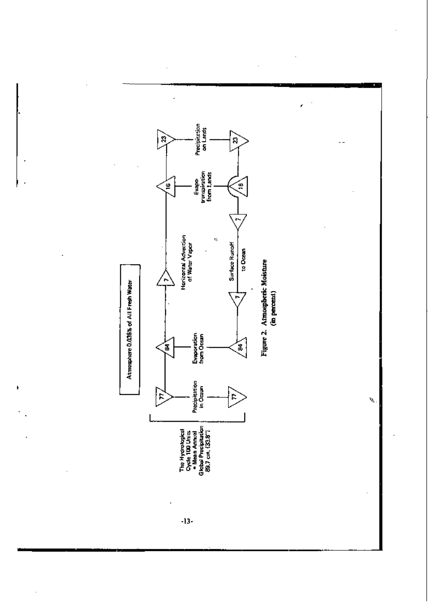

k,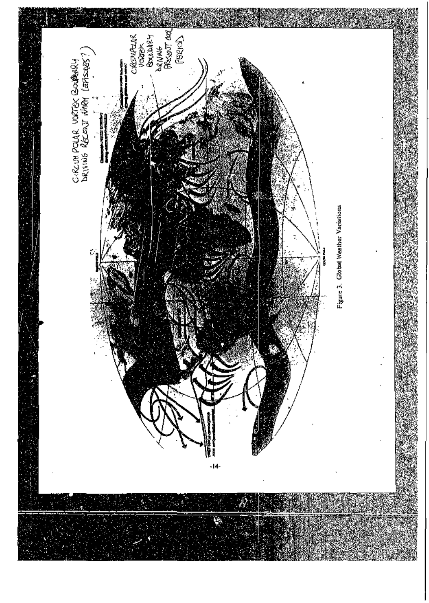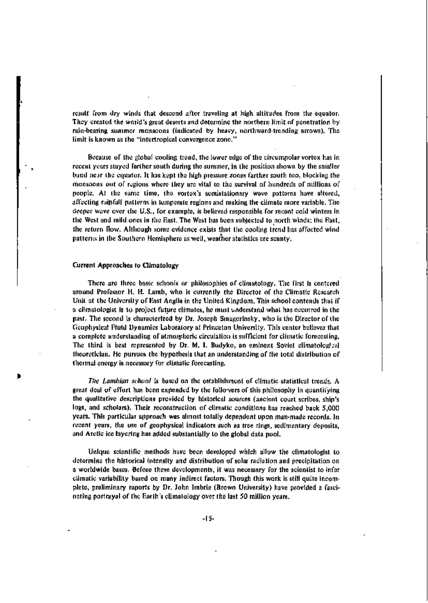result from dry winds that descend after traveling at high altitudes from the equator. They created the world's great deserts and determine the northern limit of penetration by rain-bearing summer monsoons (indicated by heavy, northward-trending arrows), The limit is known as the "intertropical convergence zone."

Because of the global cooling trend, the lower edge of the circumpolar vortex has in recent years stayed farther south during the summer, in the position shown by the smaller band near the equator. It has kept the high pressure zones farther south too, blocking the monsoons out of regions where they are vital to the sarvival of hundreds of millions of people. At the same time, the vortex's semistationary wave patterns have altered, affecting rainfall patterns in temperate regions and making the climate more variable. The deeper wave over the U.S., for example, is believed responsible for recent cold winters in the West and mild ones in the East. The West has been subjected to north winds; the East, the return flow. Although some evidence exists that the cooling trend has affected wind patterns in the Southern Hemisphere as well, weather statistics are scanty.

#### Current Approaches to Climatology

There are three basic schools or philosophies of climatology. The first is centered around Professor H. H. Lamb, who is currently the Director of the Climatic Research Unit at the University of East Anglia in the United Kingdom. This school contends that if a climatologist is to project future climates, he must understand what has occurred in the past. The second is characterized by Dr. Joseph Smagorinsky, who is the Director of the Geophysical Ptutd Dynamics Laboratory at Princeton University. This center believes that a complete understanding of atmospheric circulation is sufficient for climatic forecasting, The third is best represented by Dr. M. I. Budyko, an eminent Soviet climatological theoretician. He pursues the hypothesis that an understanding of the total distribution of thermal energy is necessary for climatic forecasting.

The Lambian school is based on the establishment of climatic statistical trends. A great deal of effort has been expended by the followers of this philosophy in quantifying the qualitative descriptions provided by historical sources (ancient court scribes, ship's logs, and scholars). Their reconstruction of ellmatic conditions has reached back 5,000 years. This particular approach was almost totally dependent upon man-made records. In recent years, the use of geophysical indicators such as tree rings, sedimentary deposits, and Aretic ice layering has added substantially to the global data pool,

Unique setentific methods have been developed which allow the climatologist to determine the historical (ntensity and distribution of solar radiation and precipitation on a worldwide bases. Before these developments, it was necessary for the scientist to inforclimatic variability based on many indirect factors. Though this work is still quite incomplete, preliminary reports by Dr. John Imbrie (Brown University) have provided a fascinating portrayal of the Earth's elimatology over the last 50 million years.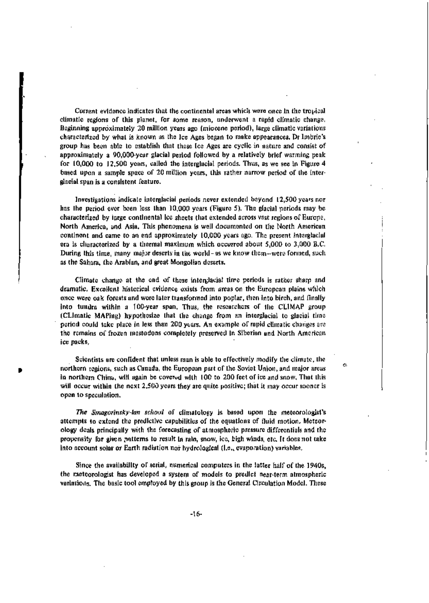Corrent evidence indicates that the continental areas which were once in the tropical climatic regions of this planet, for some reason, underwent a rapid climatic change. Beginning approximately 20 million years ago (miocene period), large climatic variations characterized by what is known as the lee Ages began to make appearances. Dr Imbrie's group has been able to establish that these Ice Ages are cyclic in nature and consist of approximately a 90.000-year glacial period followed by a relatively brief warming peak for 10,000 to 12,500 years, called the interglacial periods. Thus, as we see in Figure 4 based upon a sample space of 20 million years, this rather narrow period of the interglacial span is a consistent feature.

Investigations indicate interglacial periods never extended beyond 12,500 years nor has the period ever been less than 10,000 years (Figure 5). The glacial periods may be characterized by inrge continental lcc sheets that extended across vast regions of Europe, North America, and Asia, This phenomena is well documented on the North American continent and came to an end approximately 10,000 years ago. The present interglacial era is characterized by a thermal maximum which occurred about 5,000 to 3,000 B.C. During this time, many major descris in the world - as we know them—were formed, such as the Sahara, the Arabian, and great Mongolian deserts.

Climate change at the end of these interglacial time periods is rather sharp and dramatic. Excellent historical evidence oxists from areas on the European plains which once were oak forests and wore later transformed into poplar, then into birch, and finally into tundra within a 100-year span, Thus, the researchers of the CLIMAP group (CLImatic MAPing) hypothesize that the change from an interglacial to glacial time period could take place in less than 200 years. An example of rapid climatic changes are the remains of frozen mestodons completely preserved in Siberian and North American ice packs.

Scientists are confident that unless man is able to effectively modify the climate, the northern regions, such as Canada, the European part of the Soviet Union, and major areas in northern China, will again be covered with 100 to 200 feet of ice and snow. That this will occur within the next  $2,500$  years they are quite positive; that it may occur sooner is open to speculation.

The Smagorinsky-lan school of climatology is based upon the meteorologist's attempts to extend the predictive capabilities of the equations of fluid motion. Meteorology deals principally with the forecasting of atmospheric pressure differentials and the propensity for given patterns to result in rain, snow, ice, high winds, etc. It does not take into account solar or Earth radiation nor hydrological (i.e., evaporation) variables.

Since the availability of serial, numerical computers in the latter half of the 1940s, the meteorologist has developed a system of models to predict near-term atmospheric variations. The basic tool employed by this group is the General Circulation Model. These

 $-16-$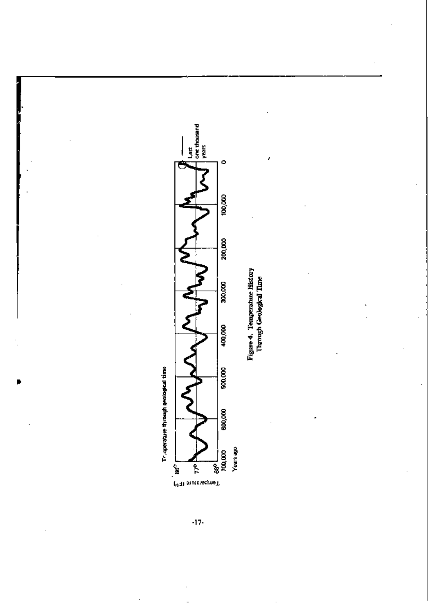



 $\ddot{\phantom{a}}$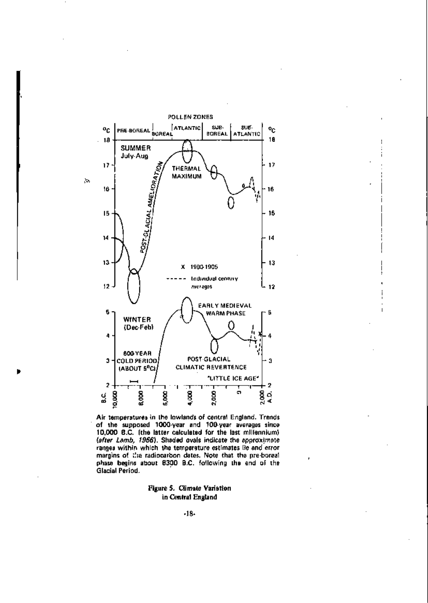

Air temperatures in the lowlands of central England. Trends of the supposed 1000-year and 100-year averages since 10,000 B.C. (the latter calculated for the last millennium) (after Lamb, 1966). Shaded ovals indicate the approximate ranges within which the temperature estimates lie and error margins of the radiocarbon dates. Note that the pre-boreal phase begins about 8300 B.C. following the end of the Glacial Period.

# **Figure 5. Climate Variation** in Central England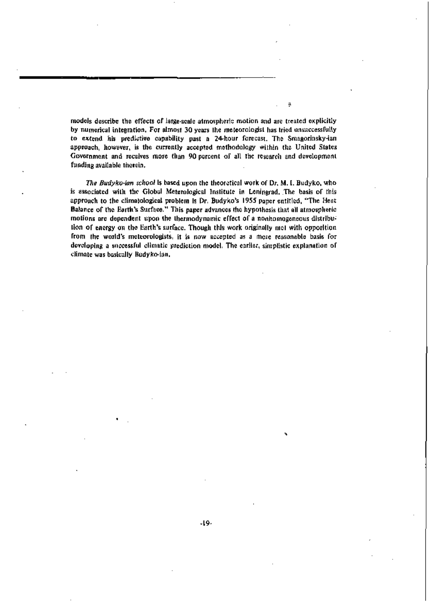models describe the effects of large-scale atmospheric motion and are treated explicitly by numerical integration. For almost 30 years the meteorologist has tried unsuccessfully to extend his predictive capability past a 24-hour forecast. The Smagorinsky-ian approach, however, is the currently accepted methodology within the United States Government and receives more than 90 percent of all the research and development funding available therein.

ÿ,

The Budyko-ian school is based upon the theoretical work of Dr. M. I. Budyko, who is associated with the Global Meterological Institute in Leningrad, The basis of this approach to the climatological problem is Dr. Budyko's 1955 paper entitled, "The Heat Balance of the Earth's Surface." This paper advances the hypothesis that all atmospheric motions are dependent upon the thermodynamic effect of a nonhomogeneous distribution of energy on the Earth's surface. Though this work originally met with opposition from the world's meteorologists, it is now accepted as a more reasonable basis for developing a successful climatic prediction model. The earlier, simplistic explanation of climate was basically Budyko-lan,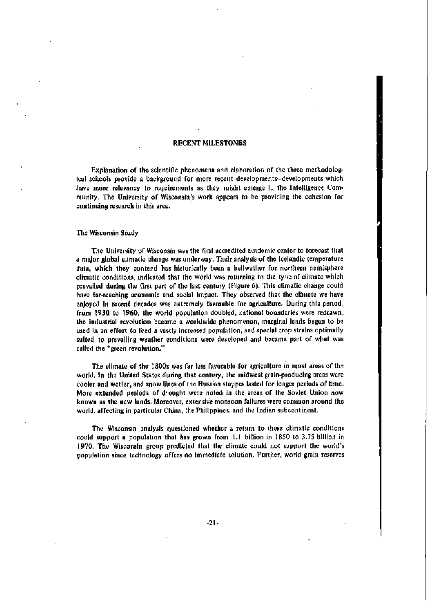## **RECENT MILESTONES**

Explanation of the selentific phenomena and elaboration of the three methodological schools provide a background for more recent developments-developments which have more relevancy to requirements as they might emerge in the Intelligence Community. The University of Wisconsin's work appears to be providing the cohesion for continuing research in this area.

#### The Wisconsin Study

The University of Wisconsin was the first accredited academic center to forecast that a major global climatic change was underway. Their analysis of the leelandic temperature data, which they contend has historically been a beliwether for northern hemisphere elimatic conditions, indicated that the world was returning to the type of climate which prevailed during the first part of the last century (Figure 6). This climatic change could have far-reaching economic and social impact. They observed that the climate we have enjoyed in recent decades was extremely favorable for agriculture. During this period, from 1930 to 1960, the world population doubled, national boundaries were redrawn, the industrial revolution became a worldwide phenomenon, marginal lands began to be used in an effort to feed a vastly increased population, and special crop strains optimally sulted to prevailing weather conditions were developed and became part of what was called the "green revolution."

The climate of the 1800s was far less favorable for agriculture in most areas of the world. In the United States during that century, the midwest grain-producing areas were cooler and wetter, and snow lines of the Russian steppes lasted for longer periods of time. More extended periods of diought were noted in the areas of the Soviet Union now known as the new lands. Moreover, extensive monsoon failures were common around the world, affecting in particular China, the Philippines, and the Indian subcontinent.

The Wisconsin analysis questioned whether a return to these climatic conditions could support a population that has grown from 1.1 billion in 1850 to 3.75 billion in 1970. The Wisconsin group predicted that the climate could not support the world's population since technology offers no immediate solution. Further, world grain reserves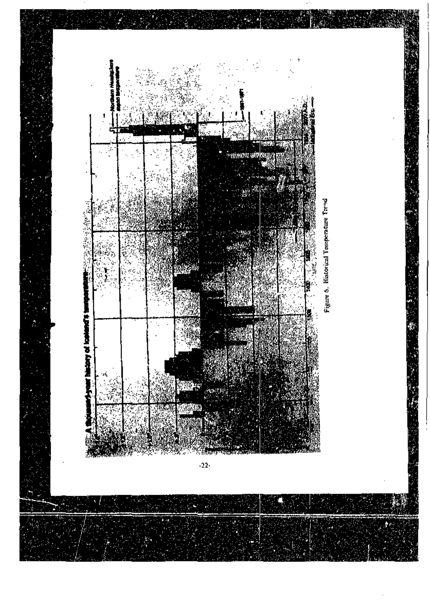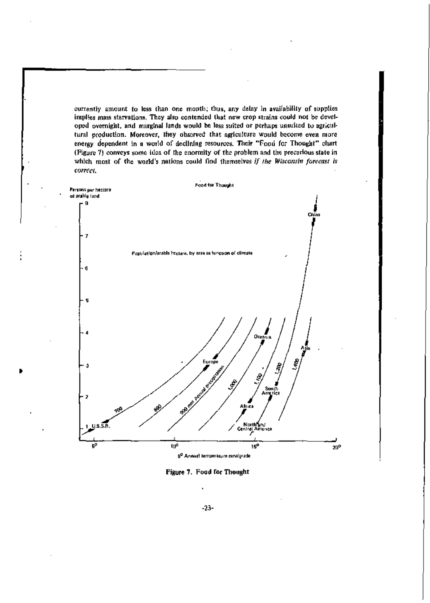currently amount to less than one montls; thus, any delay in availability of supplies implies mass starvations. They also contended that new crop strains could not be developed overnight, and marginal lands would be less suited or perhaps unsuited to agricultural production. Moreover, they observed that agriculture would become even more energy dependent in a world of declining resources. Their "Food for Thought" chart (Figure 7) conveys some idea of the enormity of the problem and the precarious state in which most of the world's nations could find themselves if the Wisconsin forecast is correct.



6<sup>0</sup> Annuel temperature centigrade

Figure 7. Food for Thought

l,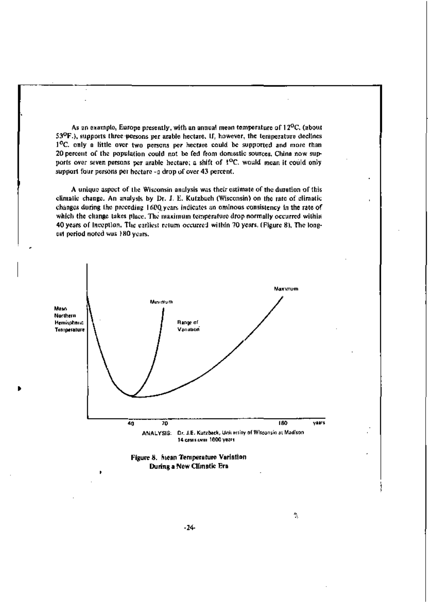As an example, Europe presently, with an annual mean temperature of  $12^{\circ}$ C, (about 53ºF.), supports three persons per arable hectare. If, however, the temperature declines 1<sup>o</sup>C, only a little over two persons per hectare could be supported and more than 20 percent of the population could not be fed from domastic sources. China now supports over seven persons per arable hectare; a shift of 1<sup>o</sup>C, would mean it could only support four persons per hectare -a drop of over 43 percent.

A unique aspect of the Wisconsin analysis was their estimate of the duration of this climatic change. An analysis by Dr. J. E. Kutzbach (Wisconsin) on the rate of climatic changes during the preceding 1600 years indicates an ominous consistency in the rate of which the change takes place. The maximum temperature drop normally occurred within 40 years of Inception. The earliest return occurred within 70 years. (Figure 8). The longest period noted was 180 years.



During a New Climatic Era

÷,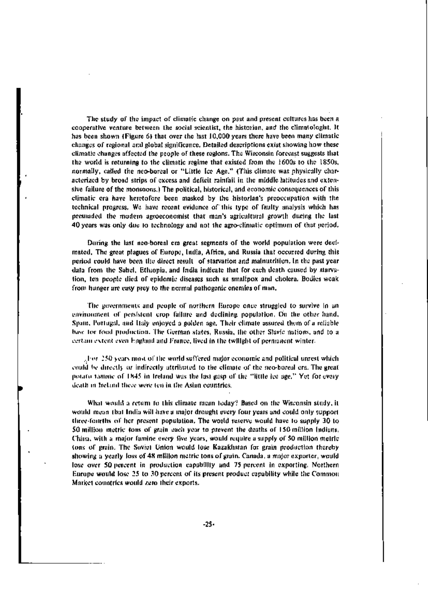The study of the impact of climatic change on past and present cultures has been a cooperative venture between the social scientist, the historian, and the climatologist. It has been shown (Figure 6) that over the last 10,000 years there have been many climatic changes of regional and global significance. Detailed descriptions exist showing how these climatic changes affected the people of these regions. The Wisconsin forecast suggests that the world is returning to the climatic regime that existed from the  $1600s$  to the 1850s, normally, called the neo-boreal or "Little Ice Age." (This climate was physically characterized by broad strips of excess and deficit rainfail in the middle latitudes and extensive failure of the monsoons.) The political, historical, and economic consequences of this climatic era have heretofore been masked by the historian's preoccupation with the technical progress. We have recent evidence of this type of faulty analysis which has persuaded the modern agroeconomist that man's agricultural growth during the last 40 years was only due to technology and not the agro-climatic optimum of that period.

During the last neo-boreal era great segments of the world population were decimated, The great plagues of Europe, India, Africa, and Russia that occurred during this period could have been the direct result of starvation and malnutrition, in the past year data from the Sahel, Ethiopia, and India indicate that for each death caused by starvation, ten people died of epidemic diseases such as smalipox and cholera. Bodies weak from hunger are easy prey to the normal pathogenic enemies of man,

The governments and people of northern Europe once struggled to survive in an environment of persistent crop failure and declining population. On the other hand, Spans, Portugal, and Italy enjoyed a golden age. Their climate assured them of a reliable base for food production. The German states, Russia, the other Slavic nations, and to a certain extent even hingkind and France, lived in the twillight of permanent winter.

 $\mu$  or 250 years most of the world suffered major economic and political unrest which could be directly or indirectly attributed to the elimate of the neo-boreal era. The great potato famine of 1845 in Ireland was the last gasp of the "little ice age." Yet for every death in freland there were (c)) in the Asian countries.

What would a return to this climate mean today? Based on the Wisconsin study, it would mean that India will have a major drought every four years and could only support three-fourths of her present population. The world reserve would have to supply 30 to 50 million metric tons of grain each year to prevent the deaths of 150 million indigns. China, with a major famine every five years, would require a supply of 50 million metric tons of grain. The Soviet Union would lose Kazakhstan for grain production thereby showing a yearly loss of 48 million metric tons of grain. Canada, a major exporter, would lose over 50 percent in production capability and 75 percent in exporting. Northern Europe would lose 25 to 30 percent of its present product capability while the Common Market countries would zero their exports.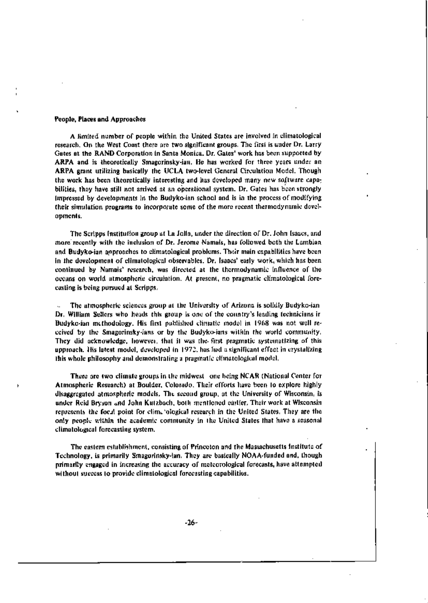#### People, Places and Approaches

A limited number of people within the United States are involved in climatological research. On the West Coast there are two significant groups. The first is under Dr. Larry Gates at the RAND Corporation in Santa Monica. Dr. Gates' work has been supported by ARPA and is theoretically Smagorinsky-ian. He has worked for three years under an ARPA grant utilizing basically the UCLA two-level General Circulation Model. Though the work has been theoretically interesting and has developed many new software capabilities, they have still not arrived at an operational system. Dr. Gates has been strongly Impressed by developments in the Budyko-lan school and is in the process of modifying their simulation programs to incorporate some of the more recent thermodynamic developments.

The Scripps Institution group at La Jolla, under the direction of Dr. John Isaacs, and more recently with the inclusion of Dr. Jerome Namals, has followed both the Lambian and Budyko-ian approaches to elimatological problems. Their main capabilities have been in the dovelopment of climatological observables. Dr. Isaacs' early work, which has been continued by Namais' research, was directed at the thermodynamic influence of the occans on world atmospheric circulation. At present, no pragmatic climatological forecasting is being pursued at Scripps.

The atmospheric sciences group at the University of Arizona is solidly Budyko-ian Dr. William Sellers who heads this group is one of the country's leading fechnicians in Budyko-ian methodology. His first published climatic model in 1968 was not well received by the Smagorinsky-lans or by the Budyko-lans within the world community. They did acknowledge, however, that it was the first pragmatic systematizing of this upproach. His latest model, developed in 1972, has fied a significant effect in crystalizing this whole philosophy and demonstrating a pragmatic elimatological model.

There are two climate groups in the midwest one being NCAR (National Center for Atmospherie Research) at Boulder, Colorado. Their efforts have been to explore highly disaggregated atmospheric models. The second group, at the University of Wisconsin, is under Reid Bryson and John Kutzbach, both mentloned earlier. Their work at Wisconsin represents the focul point for clim. 'ological research in the United States. They are the only people within the academic community in the United States that have a seasonal climatological forecasting system.

The eastern establishment, consisting of Princeton and the Massachusetts Institute of Technology, is primarily Smagorinsky-lan. They are basically NOAA-funded and, though primarily engaged in increasing the accuracy of meteorological forecasts, have attempted without success to provide climatological forecasting capabilities.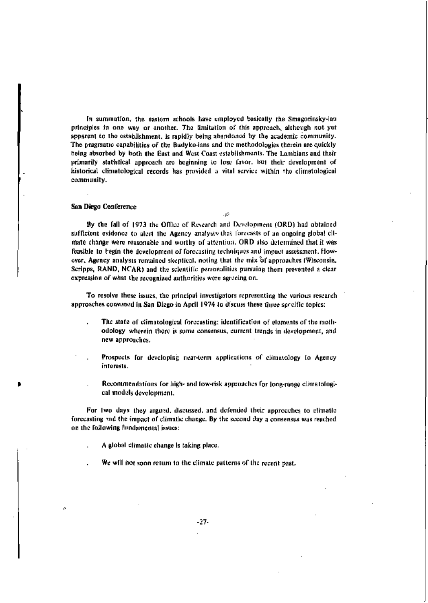In summation, the eastern schools have employed basically the Smagorinsky-ian principles in one way or another. The limitation of this approach, although not yet apparent to the establishment, is rapidly being abandoned by the academic community. The pragmatic capabilities of the Budyko-jans and the methodologies therein are quickly being absorbed by both the East and West Coast establishments. The Lambians and their primarily statistical approach are beginning to lose favor, but their development of historical climatological records has provided a vital service within the climatological community.

#### San Diego Conference

35

By the fall of 1973 the Office of Research and Development (ORD) had obtained sufficient evidence to alert the Agency analysts that forecasts of an ongoing global ellmate change were reasonable and worthy of attention. ORD also determined that it was feasible to begin the development of forecasting techniques and impact assessment. However, Agency analysis remained skeptical, noting that the mix of approaches (Wisconsin, Scripps, RAND, NCAR) and the scientific personalities pursuing them prevented a clear expression of what the recognized authorities were agreeing on.

To resolve these issues, the principal investigators representing the various research approaches convened in San Diego in April 1974 to discuss these three specific topics:

- The state of climatological forecasting: identification of elements of the methodology wherein there is some consensus, current trends in development, and new approaches.
	- Prospects for developing near-term applications of climatology to Agency interests.
- Recommendations for high- and low-risk approaches for long-range climatological models development.

For two days they argued, discussed, and defended their approaches to elimatic forecasting and the impact of elimatic change. By the second day a consensus was reached on the following fundamental issues:

- A global climatic change is taking place.
- We will not soon return to the climate patterns of the recent past.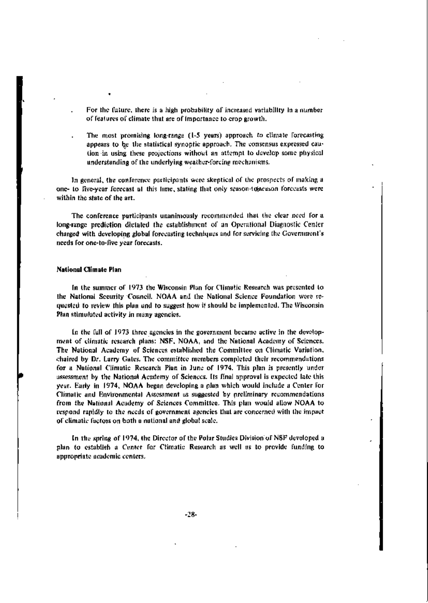For the future, there is a high probability of increased variability in a number of features of climate that are of importance to crop growth.

The most promising long-range (1-5 years) approach to climate forecasting appears to be the statistical synoptic approach. The consensus expressed caution in using these projections without an attempt to develop some physical understanding of the underlying weather-forcing mechanisms.

In general, the conference participants were skeptical of the prospects of making a one- to five-year forecast at this time, stating that only season-topeason forecasts were within the state of the art.

The conference participants unanimously recommended that the clear need for a long-range prediction dictated the establishment of an Operational Diagnostic Center charged with developing global forecasting techniques and for servicing the Government's needs for one-to-five year forecasts.

#### **National Climate Plan**

In the summer of 1973 the Wisconsin Plan for Climatic Research was presented to the National Security Council. NOAA and the National Science Foundation were requested to review this plan and to suggest how it should be implemented. The Wisconsin Plan stimulated activity in many agencies.

In the full of 1973 three agencies in the government became active in the development of climatic research plans: NSF, NOAA, and the National Academy of Sciences. The National Academy of Sciences established the Committee on Climatic Variation, chaired by Dr. Larry Gates. The committee members completed their recommendations for a Nutional Climatic Research Plun in June of 1974. This plan is presently under assessment by the National Academy of Sciences. Its final approval is expected late this year. Early in 1974, NOAA began developing a plan which would include a Center for Climatic and Environmental Assessment as suggested by preliminary recommendations from the National Academy of Sciences Committee. This plan would allow NOAA to respond rapidly to the needs of government agencies that are concerned with the impact of climatic factors on both a national and global scale.

In the spring of 1974, the Director of the Polar Studies Division of NSF developed a plan to establish a Center for Climatic Research as well as to provide funding to appropriate academic centers.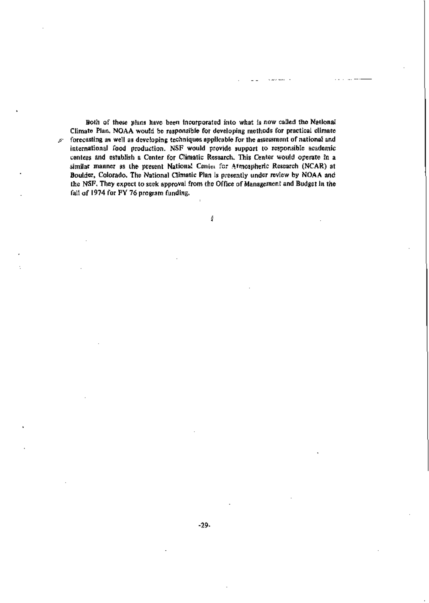Both of these plans have been incorporated into what is now called the National Climate Plan, NOAA would be rasponsible for developing methods for practical climate  $\mathcal{I}$  forecasting as well as developing techniques applicable for the assessment of national and international food production. NSF would provide support to responsible academic centers and establish a Center for Climatic Research. This Center would operate in a similar manner as the present National Centor for Atmospheric Research (NCAR) at Boulder, Colorado. The National Climatic Plan is presently under review by NOAA and the NSF. They expect to seek approval from the Office of Management and Budget in the fall of 1974 for PY 76 program funding.

ł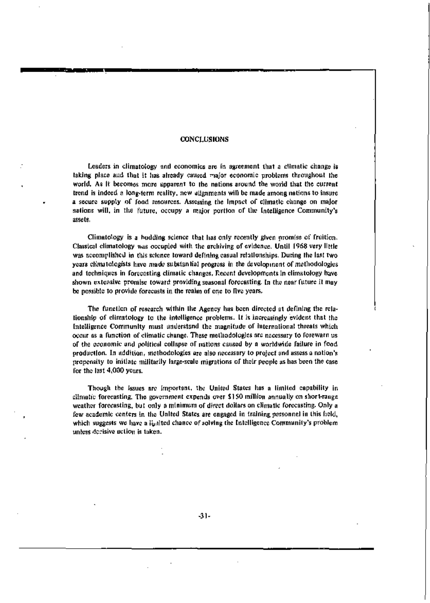## CONCLUSIONS

Leaders in climatology and economics are in agreement that a climatic change is taking place and that it has already caused major economic problems throughout the world. As it becomes more apparent to the nations around the world that the current trend is indeed a long-term reality, new alignments will be made among nations to insure a secure supply of food resources. Assessing the Impact of climatic change on major nations will, in the future, occupy a major portion of the Intelligence Community's assets.

Climatology is a bodding sclence that has only recently given promise of fruition. Classical elimatology was occupied with the archiving of evidence. Until 1968 very little was accomplished in this science toward defining casual relationships. During the last two years climatologists have made substantial progress in the development of methodologies and techniques in forecasting climatic changes. Recent developments in climatology have shown extensive promise toward providing seasonal forecasting. In the near future it may be possible to provide forecasts in the realm of one to five years.

The function of research within the Agency has been directed at defining the relationship of elimatology to the intelligence problems. It is increasingly evident that the Intelligence Community must understand the magnitude of international threats which occur as a function of climatic change. These methodologies are necessary to forewarn us of the economic and political collapse of nations caused by a worldwide failure in food production. In addition, methodologies are also necessary to project and assess a nation's propensity to initiate militarily large-scale migrations of their people as has been the case for the last  $4,000$  years.

Though the issues are important, the United States has a limited capability in climatic forecasting. The government expends over \$150 million annually on short-range weather forecasting, but only a minimum of direct dollars on climatic forecasting. Only a few academic centers in the United States are engaged in training personnel in this held, which suggests we have a limited chance of solving the Intelligence Community's problem unless decisive action is taken.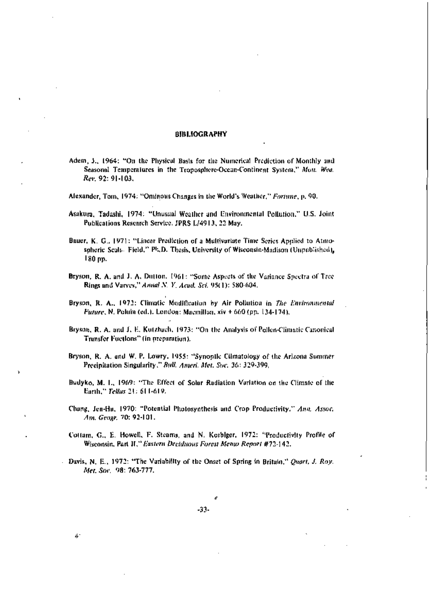#### **BIBLIOGRAPHY**

Adem, J., 1964: "On the Physical Basis for the Numerical Prediction of Monthly and Seasonal Temperatures in the Troposphere-Ocean-Continent System," Mon. Wea. Rev. 92: 91-103.

Alexander, Tom, 1974: "Ominous Changes in the World's Weather," Fortune, p. 90.

- Asakura, Tadashi, 1974; "Unusual Weather and Environmental Pollution," U.S. Joint Publications Research Service, JPRS L/4913, 22 May.
- Bauer, K. G., 1971: "Linear Prediction of a Multivariate Time Series Applied to Atmospheric Scals. Field," Ph.D. Thesis, University of Wisconsin-Madison (Unpublished), 180 pp.
- Bryson, R. A. and J. A. Dutton. 1961: "Some Aspects of the Variance Spectra of Tree Rings and Varyes," Annal N. Y. Acad. Sci. 95(1): 580-604.
- Bryson, R. A., 1972: Climatic Modification by Air Pollution in The Environmental Future, N. Poluin (ed.). London: Macmillan, xiv + 660 (pp. 134-174).
- Bryson, R. A. and J. E. Kutzbach, 1973; "On the Analysis of Pollen-Climatic Canonical Transfer Fuctions" (in preparation).
- Bryson, R. A. and W. P. Lowry, 1955: "Synoptic Climatology of the Arizona Summer Precipitation Singularity," Bull. Ameri. Met. Suc. 36: 329-399,
- Budyko, M. L., 1969: "The Effect of Solar Radiation Variation on the Climate of the Earth," Tellus 21: 611-619.
- Chang, Jen-Hu, 1970: "Potential Photosynthesis and Crop Productivity." Ann. Assoc. Am. Geogr. 70: 92-101.
- Cottam, G., E. Howell, F. Steams, and N. Korblger, 1972: "Productivity Profile of Wisconsin, Part II," Eastern Deciduous Forest Metuo Report #72-142.
- Davis, N. E., 1972: "The Variability of the Onset of Spring in Britain," Quart, J. Roy. Met. Soc. 98: 763-777.

Á.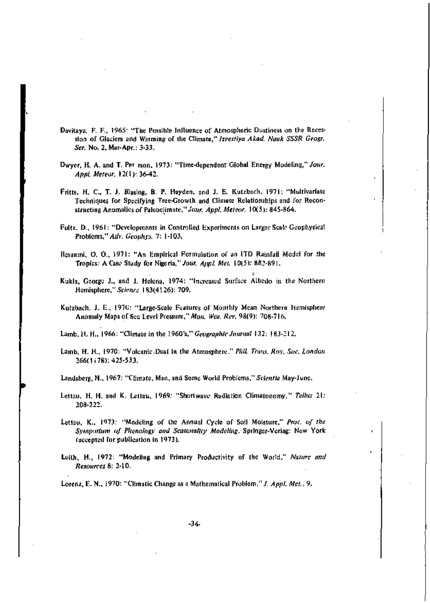Davitaya, F. F., 1965: "The Possible Influence of Atmospheric Dustiness on the Recession of Glaciers and Warming of the Climate," Izvestiya Akad. Nauk SSSR Geogr. Ser. No. 2, Mar-Apr.: 3-33.

- Dwyer, H. A. and T. Pet Ison, 1973: "Time-dependent Global Energy Modeling," Jour. Appl. Meteor. 12(1): 36-42.
- Fritts, H. C., T. J. Blasing, B. P. Hayden, and J. E. Kutzbach, 1971: "Multivariate Techniques for Specifying Tree-Growth and Climate Relationships and for Reconstructing Anomalies of Puleoclimate," Jour. Appl. Meteor. 10(5): 845-864.
- Fultz, D., 1961: "Developments in Controlled Experiments on Larger Scale Geophysical Problems," Adv. Geophys. 7: 1-103.
- Ilesanini, O. O., 1971: "An Empirical Formulation of an ITD Rainfall Model for the Tropics: A Case Study for Nigeria," Jour. Appl. Met. 10(5): 882-891.
- Kukla, George J., and J. Helena, 1974: "Increased Surface Albedo in the Northern Hemisphere," Science 183(4126): 709.
- Kutzbach, J. E., 1976: "Large-Scale Features of Monthly Mean Northern Hemisphere Anomaly Maps of Sen Level Pressure," Man. Wea. Rev. 98(9): 708-716.

Lamb, H. H., 1966: "Climate in the 1960's," Geographic Journal 132: 183-212,

Lamb, H. H., 1970: "Volcanic Dust in the Atmosphere." Phil, Trans. Roy. Soc. Landon. 266(1178): 425-533.

Landsberg, H., 1967: "Climate, Man, and Some World Problems," Scientia May-June,

Lettau, H. H. and K. Lettau, 1969: "Shortwave Radiation Climatonomy," Teilus 21: 208-222.

Lettau, K., 1973: "Modeling of the Annual Cycle of Soil Molsture," Prac. of the Symposium of Phenology and Seasonaltry Modeling, Springer-Veriag: New York (accepted for publication in 1973).

Leith, H., 1972: "Modeling and Primary Productivity of the World," Nature and Resources 8: 2-10.

Lorenz, E. N., 1970: "Climatic Change as a Mathematical Problem," J. Appl. Met., 9.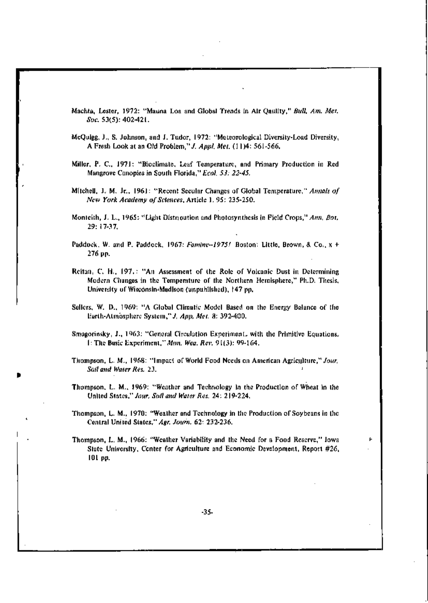Machta, Lester, 1972: "Mauna Loa and Global Trends in Alt Qaulity," Bull, Am. Met. Soc. 53(5): 402-421.

- McQuigg, J., S. Johnson, and J. Tudor, 1972: "Meteorological Diversity-Load Diversity, A Fresh Look at an Old Problem," J. Appl. Met. (11)4: 561-566.
- Miller, P. C., 1971: "Bioclimate, Leaf Temperature, and Primary Production in Red Mangrove Canopies in South Florida," Ecol. 53: 22-45.
- Mitchell, J. M. Jr., 1961: "Recent Secular Changes of Global Temperature," Annals of New York Academy of Sciences, Article 1, 95: 235-250.
- Monteith, J. L., 1965: "Light Distribution and Photosynthesis in Field Crops," Ann. Bot. 29:17-37.
- Paddock, W. and P. Paddock, 1967: Famine-1975! Boston: Little, Brown, & Co., x + 276 рр.
- Reitan, C. H., 197.: "An Assessment of the Role of Volcanic Dust in Determining Modern Chunges in the Temperature of the Northern Hemisphere," Ph.D. Thesis, University of Wisconsin-Madison (unpublished), 147 pp.
- Sellers, W. D., 1969: "A Global Climatic Model Based on the Energy Balance of the Eurth-Atmosphere System," J. App. Met. 8: 392-400.
- Smagorinsky, J., 1963: "General Circulation Experiment, with the Primitive Equations. 1: The Busic Experiment," Mon. Wea. Rev. 91(3): 99-164.
- Thompson, L. M., 1968: "Impact of World Food Needs on American Agriculture," Jour, Soil and Water Res. 23.
- Thompson, L. M., 1969: "Weather and Technology in the Production of Wheat in the United States," Jour, Soft and Water Res. 24: 219-224,
- Thompson, L. M., 1970: "Weather and Technology in the Production of Soybeans in the Central United States," Agr. Journ. 62: 232-236.
- Thompson, L. M., 1966: "Weather Variability and the Need for a Food Reserve," lowa State University, Center for Agriculture and Economic Development, Report #26,  $101$  pp.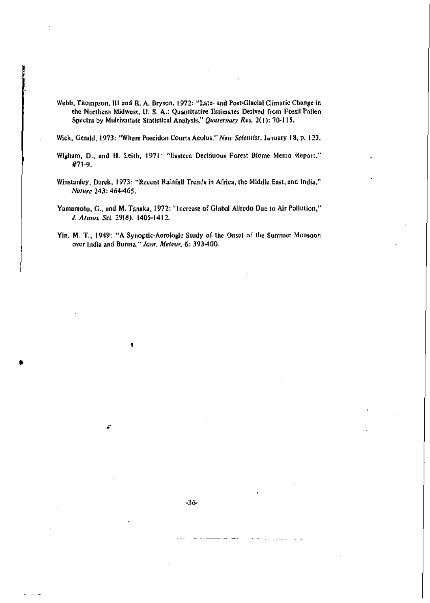Webb, Thompson, III and R. A. Bryson, 1972: "Late- and Post-Glacial Climatic Change in the Northern Midwest, U. S. A.: Quantitative Estimates Derived from Fossil Pollen Spectra by Multivariate Statistical Analysis," Quaternary Res. 2(1): 70-115.

Wick, Gerald, 1973: "Where Poscidon Courts Aeolus," New Scientist, January 18, p. 123.

Wigham, D., and H. Leith, 1971: "Eastern Deciduous Forest Biome Memo Report,"  $#71-9.$ 

Winstanley, Derek, 1973: "Recent Rainfall Trends in Africa, the Middle East, and India," Nature 243: 464-465.

Yamamoto, G., and M. Tanaka, 1972: "Increase of Global Albedo Due to Air Pollution," J. Atmos. Set. 29(8): 1405-1412.

Yin. M. T., 1949: "A Synoptic-Aerologic Study of the Onset of the Summer Mouscon over India and Burma," Jour, Meteor, 6: 393-400.

ť.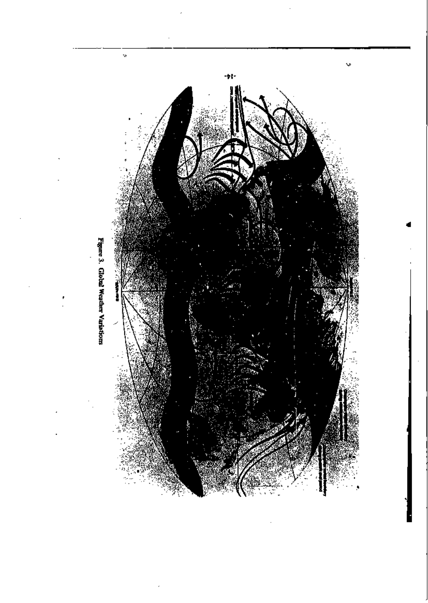